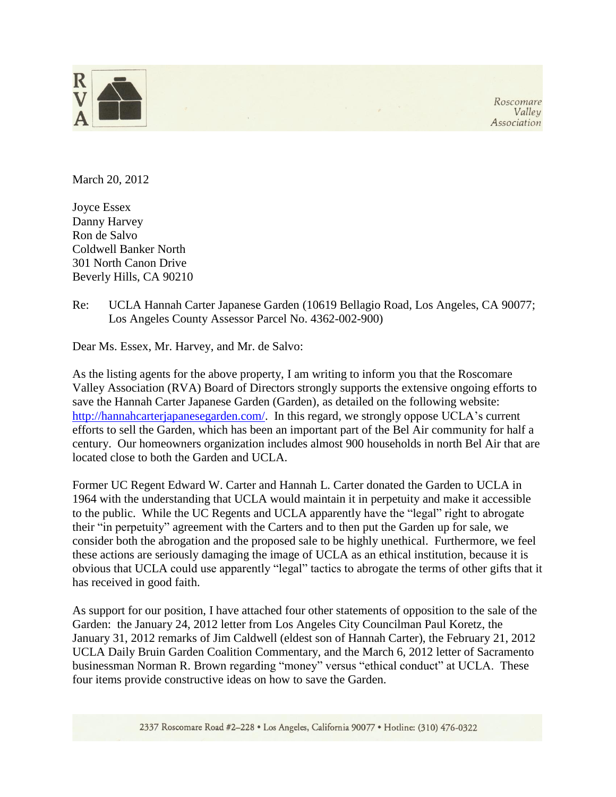

Roscomare Valley Association

March 20, 2012

Joyce Essex Danny Harvey Ron de Salvo Coldwell Banker North 301 North Canon Drive Beverly Hills, CA 90210

Re: UCLA Hannah Carter Japanese Garden (10619 Bellagio Road, Los Angeles, CA 90077; Los Angeles County Assessor Parcel No. 4362-002-900)

Dear Ms. Essex, Mr. Harvey, and Mr. de Salvo:

As the listing agents for the above property, I am writing to inform you that the Roscomare Valley Association (RVA) Board of Directors strongly supports the extensive ongoing efforts to save the Hannah Carter Japanese Garden (Garden), as detailed on the following website: [http://hannahcarterjapanesegarden.com/.](http://hannahcarterjapanesegarden.com/) In this regard, we strongly oppose UCLA's current efforts to sell the Garden, which has been an important part of the Bel Air community for half a century. Our homeowners organization includes almost 900 households in north Bel Air that are located close to both the Garden and UCLA.

Former UC Regent Edward W. Carter and Hannah L. Carter donated the Garden to UCLA in 1964 with the understanding that UCLA would maintain it in perpetuity and make it accessible to the public. While the UC Regents and UCLA apparently have the "legal" right to abrogate their "in perpetuity" agreement with the Carters and to then put the Garden up for sale, we consider both the abrogation and the proposed sale to be highly unethical. Furthermore, we feel these actions are seriously damaging the image of UCLA as an ethical institution, because it is obvious that UCLA could use apparently "legal" tactics to abrogate the terms of other gifts that it has received in good faith.

As support for our position, I have attached four other statements of opposition to the sale of the Garden: the January 24, 2012 letter from Los Angeles City Councilman Paul Koretz, the January 31, 2012 remarks of Jim Caldwell (eldest son of Hannah Carter), the February 21, 2012 UCLA Daily Bruin Garden Coalition Commentary, and the March 6, 2012 letter of Sacramento businessman Norman R. Brown regarding "money" versus "ethical conduct" at UCLA. These four items provide constructive ideas on how to save the Garden.

2337 Roscomare Road #2-228 · Los Angeles, California 90077 · Hotline: (310) 476-0322